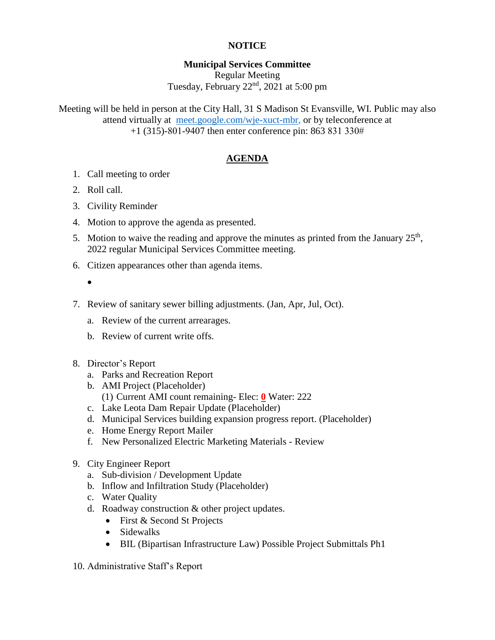## **NOTICE**

## **Municipal Services Committee** Regular Meeting Tuesday, February 22<sup>nd</sup>, 2021 at 5:00 pm

Meeting will be held in person at the City Hall, 31 S Madison St Evansville, WI. Public may also attend virtually at [meet.google.com/wje-xuct-mbr,](file://///fs01/users/haleyd/My%20Drive/Meetings/MSC/2022/01-22/meet.google.com/wje-xuct-mbr) or by teleconference at +1 (315)-801-9407 then enter conference pin: 863 831 330#

# **AGENDA**

- 1. Call meeting to order
- 2. Roll call.
- 3. Civility Reminder
- 4. Motion to approve the agenda as presented.
- 5. Motion to waive the reading and approve the minutes as printed from the January  $25<sup>th</sup>$ , 2022 regular Municipal Services Committee meeting.
- 6. Citizen appearances other than agenda items.
	- $\bullet$
- 7. Review of sanitary sewer billing adjustments. (Jan, Apr, Jul, Oct).
	- a. Review of the current arrearages.
	- b. Review of current write offs.
- 8. Director's Report
	- a. Parks and Recreation Report
	- b. AMI Project (Placeholder) (1) Current AMI count remaining- Elec: **0** Water: 222
	- c. Lake Leota Dam Repair Update (Placeholder)
	- d. Municipal Services building expansion progress report. (Placeholder)
	- e. Home Energy Report Mailer
	- f. New Personalized Electric Marketing Materials Review
- 9. City Engineer Report
	- a. Sub-division / Development Update
	- b. Inflow and Infiltration Study (Placeholder)
	- c. Water Quality
	- d. Roadway construction & other project updates.
		- First & Second St Projects
		- Sidewalks
		- BIL (Bipartisan Infrastructure Law) Possible Project Submittals Ph1
- 10. Administrative Staff's Report